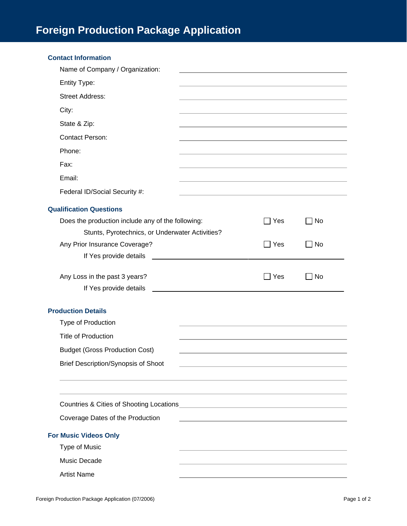| <b>Contact Information</b>                        |                                                                                                                      |                 |           |
|---------------------------------------------------|----------------------------------------------------------------------------------------------------------------------|-----------------|-----------|
| Name of Company / Organization:                   |                                                                                                                      |                 |           |
| Entity Type:                                      |                                                                                                                      |                 |           |
| <b>Street Address:</b>                            |                                                                                                                      |                 |           |
| City:                                             |                                                                                                                      |                 |           |
| State & Zip:                                      |                                                                                                                      |                 |           |
| <b>Contact Person:</b>                            |                                                                                                                      |                 |           |
| Phone:                                            |                                                                                                                      |                 |           |
| Fax:                                              |                                                                                                                      |                 |           |
| Email:                                            |                                                                                                                      |                 |           |
| Federal ID/Social Security #:                     |                                                                                                                      |                 |           |
| <b>Qualification Questions</b>                    |                                                                                                                      |                 |           |
| Does the production include any of the following: |                                                                                                                      | $\sqsupset$ Yes | No        |
| Stunts, Pyrotechnics, or Underwater Activities?   |                                                                                                                      |                 |           |
| Any Prior Insurance Coverage?                     |                                                                                                                      | $\sqsupset$ Yes | No        |
| If Yes provide details                            |                                                                                                                      |                 |           |
| Any Loss in the past 3 years?                     |                                                                                                                      | $\Box$ Yes      | <b>No</b> |
| If Yes provide details                            | <u> 1989 - Andrea Albert III, am bhaile ann an t-</u>                                                                |                 |           |
| <b>Production Details</b>                         |                                                                                                                      |                 |           |
| Type of Production                                |                                                                                                                      |                 |           |
| <b>Title of Production</b>                        |                                                                                                                      |                 |           |
| <b>Budget (Gross Production Cost)</b>             |                                                                                                                      |                 |           |
| <b>Brief Description/Synopsis of Shoot</b>        | <u> 1989 - Johann Stein, marwolaethau a bhann an t-Amhair an t-Amhair an t-Amhair an t-Amhair an t-Amhair an t-A</u> |                 |           |
|                                                   |                                                                                                                      |                 |           |
|                                                   |                                                                                                                      |                 |           |
|                                                   |                                                                                                                      |                 |           |
| Coverage Dates of the Production                  |                                                                                                                      |                 |           |
| <b>For Music Videos Only</b>                      |                                                                                                                      |                 |           |
| <b>Type of Music</b>                              |                                                                                                                      |                 |           |
| Music Decade                                      |                                                                                                                      |                 |           |
| <b>Artist Name</b>                                |                                                                                                                      |                 |           |